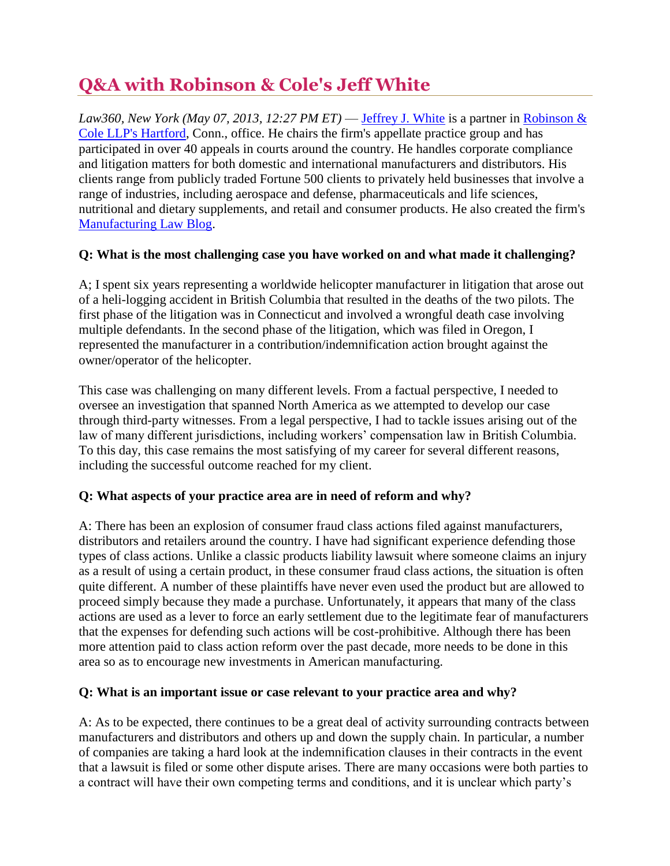# **Q&A with Robinson & Cole's Jeff White**

*Law360, New York (May 07, 2013, 12:27 PM ET)* — *[Jeffrey J. White](http://www.rc.com/bio.cfm?eid=1060) is a partner in Robinson &* [Cole LLP's Hartford,](http://www.law360.com/firm/robinson-cole) Conn., office. He chairs the firm's appellate practice group and has participated in over 40 appeals in courts around the country. He handles corporate compliance and litigation matters for both domestic and international manufacturers and distributors. His clients range from publicly traded Fortune 500 clients to privately held businesses that involve a range of industries, including aerospace and defense, pharmaceuticals and life sciences, nutritional and dietary supplements, and retail and consumer products. He also created the firm's [Manufacturing Law Blog.](http://www.manufacturinglawblog.com./)

## **Q: What is the most challenging case you have worked on and what made it challenging?**

A; I spent six years representing a worldwide helicopter manufacturer in litigation that arose out of a heli-logging accident in British Columbia that resulted in the deaths of the two pilots. The first phase of the litigation was in Connecticut and involved a wrongful death case involving multiple defendants. In the second phase of the litigation, which was filed in Oregon, I represented the manufacturer in a contribution/indemnification action brought against the owner/operator of the helicopter.

This case was challenging on many different levels. From a factual perspective, I needed to oversee an investigation that spanned North America as we attempted to develop our case through third-party witnesses. From a legal perspective, I had to tackle issues arising out of the law of many different jurisdictions, including workers' compensation law in British Columbia. To this day, this case remains the most satisfying of my career for several different reasons, including the successful outcome reached for my client.

## **Q: What aspects of your practice area are in need of reform and why?**

A: There has been an explosion of consumer fraud class actions filed against manufacturers, distributors and retailers around the country. I have had significant experience defending those types of class actions. Unlike a classic products liability lawsuit where someone claims an injury as a result of using a certain product, in these consumer fraud class actions, the situation is often quite different. A number of these plaintiffs have never even used the product but are allowed to proceed simply because they made a purchase. Unfortunately, it appears that many of the class actions are used as a lever to force an early settlement due to the legitimate fear of manufacturers that the expenses for defending such actions will be cost-prohibitive. Although there has been more attention paid to class action reform over the past decade, more needs to be done in this area so as to encourage new investments in American manufacturing.

#### **Q: What is an important issue or case relevant to your practice area and why?**

A: As to be expected, there continues to be a great deal of activity surrounding contracts between manufacturers and distributors and others up and down the supply chain. In particular, a number of companies are taking a hard look at the indemnification clauses in their contracts in the event that a lawsuit is filed or some other dispute arises. There are many occasions were both parties to a contract will have their own competing terms and conditions, and it is unclear which party's